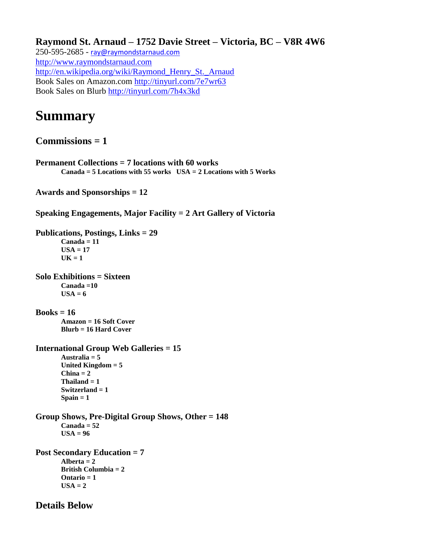**Raymond St. Arnaud – 1752 Davie Street – Victoria, BC – V8R 4W6** 250-595-2685 - [ray@raymondstarnaud.com](mailto:ray@raymondstarnaud.com) [http://www.raymondstarnaud.com](http://www.raymondstarnaud.com/) [http://en.wikipedia.org/wiki/Raymond\\_Henry\\_St.\\_Arnaud](http://en.wikipedia.org/wiki/Raymond_Henry_St._Arnaud) Book Sales on Amazon.com<http://tinyurl.com/7e7wr63> Book Sales on Blurb<http://tinyurl.com/7h4x3kd>

# **Summary**

**Commissions = 1**

**Permanent Collections = 7 locations with 60 works Canada = 5 Locations with 55 works USA = 2 Locations with 5 Works**

**Awards and Sponsorships = 12**

**Speaking Engagements, Major Facility = 2 Art Gallery of Victoria**

**Publications, Postings, Links = 29 Canada = 11 USA = 17**  $UK = 1$ 

**Solo Exhibitions = Sixteen Canada =10**   $$ 

**Books = 16 Amazon = 16 Soft Cover Blurb = 16 Hard Cover**

```
International Group Web Galleries = 15
Australia = 5 
United Kingdom = 5
China = 2
Thailand = 1
Switzerland = 1
Spain = 1
```
**Group Shows, Pre-Digital Group Shows, Other = 148 Canada = 52**   $USA = 96$ 

**Post Secondary Education = 7** Alberta  $= 2$ **British Columbia = 2 Ontario = 1**  $USA = 2$ 

**Details Below**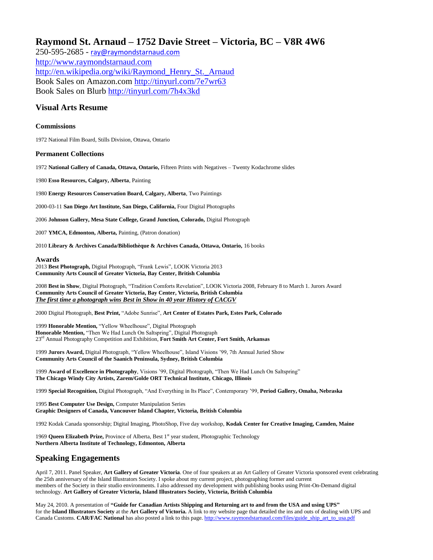## **Raymond St. Arnaud – 1752 Davie Street – Victoria, BC – V8R 4W6**

250-595-2685 - [ray@raymondstarnaud.com](mailto:ray@raymondstarnaud.com) [http://www.raymondstarnaud.com](http://www.raymondstarnaud.com/) [http://en.wikipedia.org/wiki/Raymond\\_Henry\\_St.\\_Arnaud](http://en.wikipedia.org/wiki/Raymond_Henry_St._Arnaud) Book Sales on Amazon.com<http://tinyurl.com/7e7wr63> Book Sales on Blurb<http://tinyurl.com/7h4x3kd>

## **Visual Arts Resume**

#### **Commissions**

1972 National Film Board, Stills Division, Ottawa, Ontario

#### **Permanent Collections**

1972 **National Gallery of Canada, Ottawa, Ontario,** Fifteen Prints with Negatives – Twenty Kodachrome slides

1980 **Esso Resources, Calgary, Alberta**, Painting

1980 **Energy Resources Conservation Board, Calgary, Alberta**, Two Paintings

2000-03-11 **San Diego Art Institute, San Diego, California,** Four Digital Photographs

2006 **Johnson Gallery, Mesa State College, Grand Junction, Colorado,** Digital Photograph

2007 **YMCA, Edmonton, Alberta,** Painting, (Patron donation)

2010 **Library & Archives Canada/Bibliothèque & Archives Canada, Ottawa, Ontario,** 16 books

#### **Awards**

2013 **Best Photograph,** Digital Photograph, "Frank Lewis", LOOK Victoria 2013 **Community Arts Council of Greater Victoria, Bay Center, British Columbia**

2008 **Best in Show**, Digital Photograph, "Tradition Comforts Revelation", LOOK Victoria 2008, February 8 to March 1. Jurors Award **Community Arts Council of Greater Victoria, Bay Center, Victoria, British Columbia** *The first time a photograph wins Best in Show in 40 year History of CACGV*

2000 Digital Photograph, **Best Print,** "Adobe Sunrise", **Art Center of Estates Park, Estes Park, Colorado**

1999 **Honorable Mention,** "Yellow Wheelhouse", Digital Photograph **Honorable Mention,** "Then We Had Lunch On Saltspring", Digital Photograph 23rd Annual Photography Competition and Exhibition, **Fort Smith Art Center, Fort Smith, Arkansas**

1999 **Jurors Award,** Digital Photograph, "Yellow Wheelhouse", Island Visions '99, 7th Annual Juried Show **Community Arts Council of the Saanich Peninsula, Sydney, British Columbia**

1999 **Award of Excellence in Photography**, Visions '99, Digital Photograph, "Then We Had Lunch On Saltspring" **The Chicago Windy City Artists, Zarem/Golde ORT Technical Institute, Chicago, Illinois**

1999 **Special Recognition,** Digital Photograph, "And Everything in Its Place", Contemporary '99, **Period Gallery, Omaha, Nebraska** 

1995 **Best Computer Use Design,** Computer Manipulation Series **Graphic Designers of Canada, Vancouver Island Chapter, Victoria, British Columbia**

1992 Kodak Canada sponsorship; Digital Imaging, PhotoShop, Five day workshop, **Kodak Center for Creative Imaging, Camden, Maine**

1969 **Queen Elizabeth Prize,** Province of Alberta, Best 1<sup>st</sup> year student, Photographic Technology **Northern Alberta Institute of Technology, Edmonton, Alberta**

## **Speaking Engagements**

April 7, 2011. Panel Speaker, **Art Gallery of Greater Victoria**. One of four speakers at an Art Gallery of Greater Victoria sponsored event celebrating the 25th anniversary of the Island Illustrators Society. I spoke about my current project, photographing former and current members of the Society in their studio environments. I also addressed my development with publishing books using Print-On-Demand digital technology. **Art Gallery of Greater Victoria, Island Illustrators Society, Victoria, British Columbia**

May 24, 2010. A presentation of **"Guide for Canadian Artists Shipping and Returning art to and from the USA and using UPS"** for the **Island Illustrators Society** at the **Art Gallery of Victoria.** A link to my website page that detailed the ins and outs of dealing with UPS and Canada Customs. **CAR/FAC National** has also posted a link to this page[. http://www.raymondstarnaud.com/files/guide\\_ship\\_art\\_to\\_usa.pdf](http://www.raymondstarnaud.com/files/guide_ship_art_to_usa.pdf)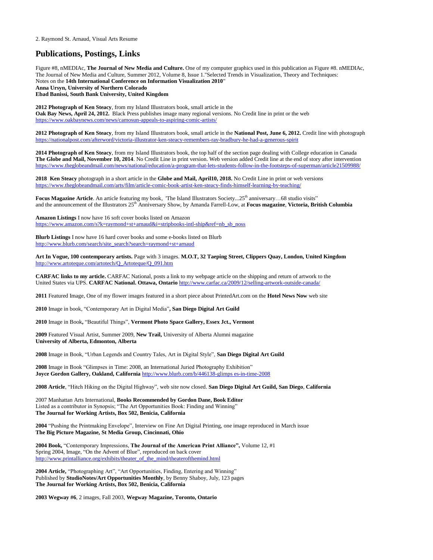## **Publications, Postings, Links**

Figure #8, nMEDIAc, **The Journal of New Media and Culture.** One of my computer graphics used in this publication as Figure #8. nMEDIAc, The Journal of New Media and Culture, Summer 2012, Volume 8, Issue 1."Selected Trends in Visualization, Theory and Techniques: Notes on the **14th International Conference on Information Visualization 2010**" **Anna Ursyn, University of Northern Colorado Ebad Banissi, South Bank University, United Kingdom**

**2012 Photograph of Ken Steacy**, from my Island Illustrators book, small article in the **Oak Bay News, April 24, 2012.** Black Press publishes image many regional versions. No Credit line in print or the web <https://www.oakbaynews.com/news/camosun-appeals-to-aspiring-comic-artists/>

**2012 Photograph of Ken Steacy**, from my Island Illustrators book, small article in the **National Post, June 6, 2012.** Credit line with photograph <https://nationalpost.com/afterword/victoria-illustrator-ken-steacy-remembers-ray-bradbury-he-had-a-generous-spirit>

**2014 Photograph of Ken Steacy**, from my Island Illustrators book, the top half of the section page dealing with College education in Canada **The Globe and Mail, November 10, 2014**. No Credit Line in print version. Web version added Credit line at the end of story after intervention <https://www.theglobeandmail.com/news/national/education/a-program-that-lets-students-follow-in-the-footsteps-of-superman/article21509988/>

**2018 Ken Steacy** photograph in a short article in the **Globe and Mail, April10, 2018.** No Credit Line in print or web versions <https://www.theglobeandmail.com/arts/film/article-comic-book-artist-ken-steacy-finds-himself-learning-by-teaching/>

**Focus Magazine Article**. An article featuring my book, 'The Island Illustrators Society...25<sup>th</sup> anniversary...68 studio visits" and the announcement of the Illustrators 25<sup>th</sup> Anniversary Show, by Amanda Farrell-Low, at **Focus magazine**, **Victoria, British Columbia** 

**Amazon Listings** I now have 16 soft cover books listed on Amazon [https://www.amazon.com/s?k=raymond+st+arnaud&i=stripbooks-intl-ship&ref=nb\\_sb\\_noss](https://www.amazon.com/s?k=raymond+st+arnaud&i=stripbooks-intl-ship&ref=nb_sb_noss)

**Blurb Listings** I now have 16 hard cover books and some e-books listed on Blurb [http://www.blurb.com/search/site\\_search?search=raymond+st+arnaud](http://www.blurb.com/search/site_search?search=raymond+st+arnaud)

**Art In Vogue, 100 contemporary artists.** Page with 3 images. **M.O.T, 32 Taeping Street, Clippers Quay, London, United Kingdom** [http://www.artoteque.com/artotech/Q\\_Artoteque/Q\\_091.htm](http://www.artoteque.com/artotech/Q_Artoteque/Q_091.htm)

**CARFAC links to my article.** CARFAC National, posts a link to my webpage article on the shipping and return of artwork to the United States via UPS. **CARFAC National. Ottawa, Ontario** <http://www.carfac.ca/2009/12/selling-artwork-outside-canada/>

**2011** Featured Image, One of my flower images featured in a short piece about PrintedArt.com on the **Hotel News Now** web site

**2010** Image in book, "Contemporary Art in Digital Media"**, San Diego Digital Art Guild**

**2010** Image in Book**,** "Beautiful Things", **Vermont Photo Space Gallery, Essex Jct., Vermont**

**2009** Featured Visual Artist, Summer 2009, **New Trail,** University of Alberta Alumni magazine **University of Alberta, Edmonton, Alberta**

**2008** Image in Book, "Urban Legends and Country Tales, Art in Digital Style", **San Diego Digital Art Guild**

**2008** Image in Book "Glimpses in Time: 2008, an International Juried Photography Exhibition" **Joyce Gordon Gallery, Oakland, California** [http://www.blurb.com/b/446138-glimps es-in-time-2008](http://www.blurb.com/b/446138-glimps%20es-in-time-2008)

**2008 Article**, "Hitch Hiking on the Digital Highway", web site now closed. **San Diego Digital Art Guild, San Diego**, **California**

2007 Manhattan Arts International, **Books Recommended by Gordon Dane, Book Editor** Listed as a contributor in Synopsis; "The Art Opportunities Book: Finding and Winning" **The Journal for Working Artists, Box 502, Benicia, California**

**2004** "Pushing the Printmaking Envelope", Interview on Fine Art Digital Printing, one image reproduced in March issue **The Big Picture Magazine, St Media Group, Cincinnati, Ohio**

**2004 Book,** "Contemporary Impressions, **The Journal of the American Print Alliance",** Volume 12, #1 Spring 2004, Image, "On the Advent of Blue", reproduced on back cover [http://www.printalliance.org/exhibits/theater\\_of\\_the\\_mind/theaterofthemind.html](http://www.printalliance.org/exhibits/theater_of_the_mind/theaterofthemind.html)

**2004 Article,** "Photographing Art", "Art Opportunities, Finding, Entering and Winning" Published by **StudioNotes/Art Opportunities Monthly**, by Benny Shaboy, July, 123 pages **The Journal for Working Artists, Box 502, Benicia, California**

**2003 Wegway #6**, 2 images, Fall 2003, **Wegway Magazine, Toronto, Ontario**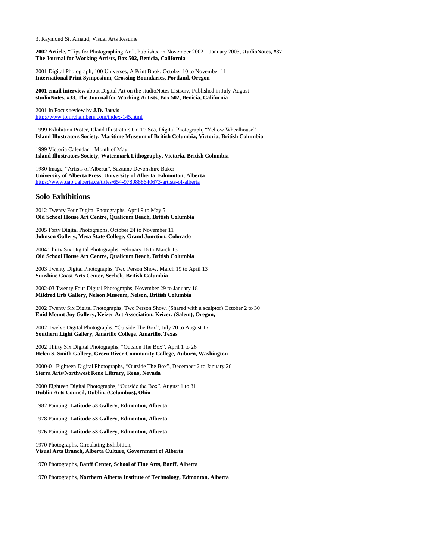**2002 Article,** "Tips for Photographing Art", Published in November 2002 – January 2003, **studioNotes, #37 The Journal for Working Artists, Box 502, Benicia, California**

2001 Digital Photograph, 100 Universes, A Print Book, October 10 to November 11 **International Print Symposium, Crossing Boundaries, Portland, Oregon**

**2001 email interview** about Digital Art on the studioNotes Listserv, Published in July-August **studioNotes, #33, The Journal for Working Artists, Box 502, Benicia, California**

2001 In Focus review by **J.D. Jarvis** <http://www.tomrchambers.com/index-145.html>

1999 Exhibition Poster, Island Illustrators Go To Sea, Digital Photograph, "Yellow Wheelhouse" **Island Illustrators Society, Maritime Museum of British Columbia, Victoria, British Columbia**

1999 Victoria Calendar – Month of May **Island Illustrators Society, Watermark Lithography, Victoria, British Columbia**

1980 Image, "Artists of Alberta", Suzanne Devonshire Baker **University of Alberta Press, University of Alberta, Edmonton, Alberta** <https://www.uap.ualberta.ca/titles/654-9780888640673-artists-of-alberta>

#### **Solo Exhibitions**

2012 Twenty Four Digital Photographs, April 9 to May 5 **Old School House Art Centre, Qualicum Beach, British Columbia**

2005 Forty Digital Photographs, October 24 to November 11 **Johnson Gallery, Mesa State College, Grand Junction, Colorado**

2004 Thirty Six Digital Photographs, February 16 to March 13 **Old School House Art Centre, Qualicum Beach, British Columbia**

2003 Twenty Digital Photographs, Two Person Show, March 19 to April 13 **Sunshine Coast Arts Center, Sechelt, British Columbia**

2002-03 Twenty Four Digital Photographs, November 29 to January 18 **Mildred Erb Gallery, Nelson Museum, Nelson, British Columbia**

2002 Twenty Six Digital Photographs, Two Person Show, (Shared with a sculptor) October 2 to 30 **Enid Mount Joy Gallery, Keizer Art Association, Keizer, (Salem), Oregon,** 

2002 Twelve Digital Photographs, "Outside The Box", July 20 to August 17 **Southern Light Gallery, Amarillo College, Amarillo, Texas**

2002 Thirty Six Digital Photographs, "Outside The Box", April 1 to 26 **Helen S. Smith Gallery, Green River Community College, Auburn, Washington**

2000-01 Eighteen Digital Photographs, "Outside The Box", December 2 to January 26 **Sierra Arts/Northwest Reno Library, Reno, Nevada**

2000 Eighteen Digital Photographs, "Outside the Box", August 1 to 31 **Dublin Arts Council, Dublin, (Columbus), Ohio**

1982 Painting, **Latitude 53 Gallery, Edmonton, Alberta**

1978 Painting, **Latitude 53 Gallery, Edmonton, Alberta**

1976 Painting, **Latitude 53 Gallery, Edmonton, Alberta**

1970 Photographs, Circulating Exhibition, **Visual Arts Branch, Alberta Culture, Government of Alberta**

1970 Photographs, **Banff Center, School of Fine Arts, Banff, Alberta**

1970 Photographs, **Northern Alberta Institute of Technology, Edmonton, Alberta**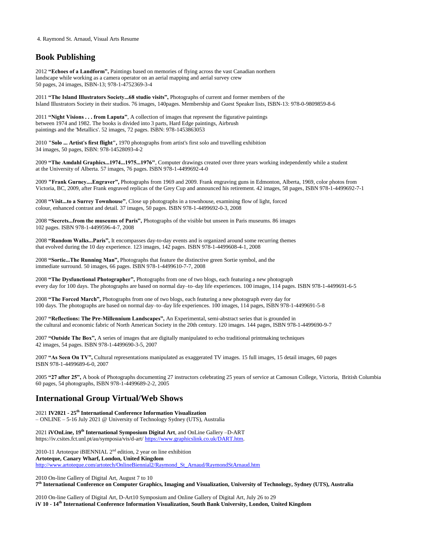## **Book Publishing**

2012 **"Echoes of a Landform",** Paintings based on memories of flying across the vast Canadian northern landscape while working as a camera operator on an aerial mapping and aerial survey crew 50 pages, 24 images, ISBN-13; 978-1-4752369-3-4

2011 **"The Island Illustrators Society...68 studio visits",** Photographs of current and former members of the Island Illustrators Society in their studios. 76 images, 140pages. Membership and Guest Speaker lists, ISBN-13: 978-0-9809859-8-6

2011 **"Night Visions . . . from Laputa"**, A collection of images that represent the figurative paintings between 1974 and 1982. The books is divided into 3 parts, Hard Edge paintings, Airbrush paintings and the 'Metallics'. 52 images, 72 pages. ISBN: 978-1453863053

2010 **"Solo ... Artist's first flight",** 1970 photographs from artist's first solo and travelling exhibition 34 images, 50 pages, ISBN: 978-14528093-4-2

2009 **"The Amdahl Graphics...1974...1975...1976"**, Computer drawings created over three years working independently while a student at the University of Alberta. 57 images, 76 pages. ISBN 978-1-4499692-4-0

2009 **"Frank Gurney....Engraver",** Photographs from 1969 and 2009. Frank engraving guns in Edmonton, Alberta, 1969, color photos from Victoria, BC, 2009, after Frank engraved replicas of the Grey Cup and announced his retirement. 42 images, 58 pages, ISBN 978-1-4499692-7-1

2008 **"Visit...to a Surrey Townhouse"**, Close up photographs in a townhouse, examining flow of light, forced colour, enhanced contrast and detail. 37 images, 50 pages. ISBN 978-1-4499692-0-3, 2008

2008 **"Secrets...from the museums of Paris",** Photographs of the visible but unseen in Paris museums. 86 images 102 pages. ISBN 978-1-4499596-4-7, 2008

2008 **"Random Walks...Paris",** It encompasses day-to-day events and is organized around some recurring themes that evolved during the 10 day experience. 123 images, 142 pages. ISBN 978-1-4499608-4-1, 2008

2008 **"Sortie...The Running Man",** Photographs that feature the distinctive green Sortie symbol, and the immediate surround. 50 images, 66 pages. ISBN 978-1-4499610-7-7, 2008

2008 **"The Dysfunctional Photographer",** Photographs from one of two blogs, each featuring a new photograph every day for 100 days. The photographs are based on normal day–to–day life experiences. 100 images, 114 pages. ISBN 978-1-4499691-6-5

2008 **"The Forced March",** Photographs from one of two blogs, each featuring a new photograph every day for 100 days. The photographs are based on normal day–to–day life experiences. 100 images, 114 pages, ISBN 978-1-4499691-5-8

2007 **"Reflections: The Pre-Millennium Landscapes",** An Experimental, semi-abstract series that is grounded in the cultural and economic fabric of North American Society in the 20th century. 120 images. 144 pages, ISBN 978-1-4499690-9-7

2007 **"Outside The Box",** A series of images that are digitally manipulated to echo traditional printmaking techniques 42 images, 54 pages. ISBN 978-1-4499690-3-5, 200[7](http://www.raymondstarnaud.com/resume.pdf#page=2)

2007 **"As Seen On TV",** Cultural representations manipulated as exaggerated TV images. 15 full images, 15 detail images, 60 pages ISBN 978-1-4499689-6-0, 2007

2005 **"27 after 25",** A book of Photographs documenting 27 instructors celebrating 25 years of service at Camosun College, Victoria, British Columbia 60 pages, 54 photographs, ISBN 978-1-4499689-2-2, 2005

## **International Group Virtual/Web Shows**

2021 **IV2021 - 25th International Conference Information Visualization** – ONLINE – 5-16 July 2021 @ University of Technology Sydney (UTS), Australia

2021 **iVOnLine, 19th International Symposium Digital Art**, and OnLine Gallery –D-ART https://iv.csites.fct.unl.pt/au/symposia/vis/d-art/ [https://www.graphicslink.co.uk/DART.htm.](https://www.graphicslink.co.uk/DART.htm)

2010-11 Artoteque iBIENNIAL  $2^{nd}$  edition, 2 year on line exhibition **Artoteque, Canary Wharf, London, United Kingdom** [http://www.artoteque.com/artotech/OnlineBiennial2/Raymond\\_St\\_Arnaud/RaymondStArnaud.htm](http://www.artoteque.com/artotech/OnlineBiennial2/Raymond_St_Arnaud/RaymondStArnaud.htm)

2010 On-line Gallery of Digital Art, August 7 to 10 **7 th International Conference on Computer Graphics, Imaging and Visualization, University of Technology, Sydney (UTS), Australia**

2010 On-line Gallery of Digital Art, D-Art10 Symposium and Online Gallery of Digital Art, July 26 to 29 **iV 10 - 14th International Conference Information Visualization, South Bank University, London, United Kingdom**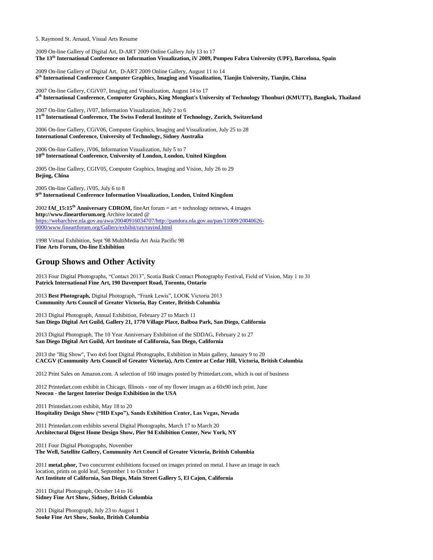2009 On-line Gallery of Digital Art, D-ART 2009 Online Gallery July 13 to 17 **The 13th International Conference on Information Visualization, iV 2009, Pompeu Fabra University (UPF), Barcelona, Spain**

2009 On-line Gallery of Digital Art, D-ART 2009 Online Gallery, August 11 to 14 **6 th International Conference Computer Graphics, Imaging and Visualization, Tianjin University, Tianjin, China**

2007 On-line Gallery, CGiV07, Imaging and Visualization, August 14 to 17 **4 th International Conference, Computer Graphics, King Mongkut's University of Technology Thonburi (KMUTT), Bangkok, Thailand**

2007 On-line Gallery, iV07, Information Visualization, July 2 to 6 **11th International Conference, The Swiss Federal Institute of Technology, Zurich, Switzerland**

2006 On-line Gallery, CGiV06, Computer Graphics, Imaging and Visualization, July 25 to 28 **International Conference, University of Technology, Sidney Australia**

2006 On-line Gallery, iV06, Information Visualization, July 5 to 7 **10th International Conference, University of London, London, United Kingdom**

2005 On-line Gallery, CGIV05, Computer Graphics, Imaging and Vision, July 26 to 29 **Bejing, China**

2005 On-line Gallery, iV05, July 6 to 8 **9 th International Conference Information Visualization, London, United Kingdom**

2002 **fAf\_15:15th Anniversary CDROM,** fineArt forum = art + technology netnews, 4 images **http://www.fineartforum.org** Archive located @ [https://webarchive.nla.gov.au/awa/20040916034707/http://pandora.nla.gov.au/pan/11009/20040626-](https://webarchive.nla.gov.au/awa/20040916034707/http:/pandora.nla.gov.au/pan/11009/20040626-0000/www.fineartforum.org/Gallery/exhibit/ray/rayind.html) [0000/www.fineartforum.org/Gallery/exhibit/ray/rayind.html](https://webarchive.nla.gov.au/awa/20040916034707/http:/pandora.nla.gov.au/pan/11009/20040626-0000/www.fineartforum.org/Gallery/exhibit/ray/rayind.html)

1998 Virtual Exhibition, Sept '98 MultiMedia Art Asia Pacific 98 **Fine Arts Forum, On-line Exhibition**

## **Group Shows and Other Activity**

2013 Four Digital Photographs, "Contact 2013", Scotia Bank Contact Photography Festival, Field of Vision, May 1 to 31 **Patrick International Fine Art, 190 Davenport Road, Toronto, Ontario**

2013 **Best Photograph,** Digital Photograph, "Frank Lewis", LOOK Victoria 2013 **Community Arts Council of Greater Victoria, Bay Center, British Columbia**

2013 Digital Photograph, Annual Exhibition, February 27 to March 11 **San Diego Digital Art Guild, Gallery 21, 1770 Village Place, Balboa Park, San Diego, California**

2013 Digital Photograph, The 10 Year Anniversary Exhibition of the SDDAG, February 2 to 27 **San Diego Digital Art Guild, Art Institute of California, San Diego, California**

2013 the "Big Show", Two 4x6 foot Digital Photographs, Exhibition in Main gallery, January 9 to 20 **CACGV (Community Arts Council of Greater Victoria), Arts Centre at Cedar Hill, Victoria, British Columbia**

2012 Print Sales on Amazon.com. A selection of 160 images posted by Printedart.com, which is out of business

2012 Printedart.com exhibit in Chicago, Illinois - one of my flower images as a 60x90 inch print, June **Neocon - the largest Interior Design Exhibition in the USA**

2011 Printedart.com exhibit, May 18 to 20 **Hospitality Design Show ("HD Expo"), Sands Exhibition Center, Las Vegas, Nevada**

2011 Printedart.com exhibits several Digital Photographs, March 17 to March 20 **Architectural Digest Home Design Show, Pier 94 Exhibition Center, New York, NY**

2011 Four Digital Photographs, November **The Well, Satellite Gallery, Community Art Council of Greater Victoria, British Columbia**

2011 **metaLphor,** Two concurrent exhibitions focused on images printed on metal. I have an image in each location, prints on gold leaf, September 1 to October 1 **Art Institute of California, San Diego, Main Street Gallery 5, El Cajon, California**

2011 Digital Photograph, October 14 to 16 **Sidney Fine Art Show, Sidney, British Columbia**

2011 Digital Photograph, July 23 to August 1 **Sooke Fine Art Show, Sooke, British Columbi[a](http://www.raymondstarnaud.com/resume.pdf#page=8)**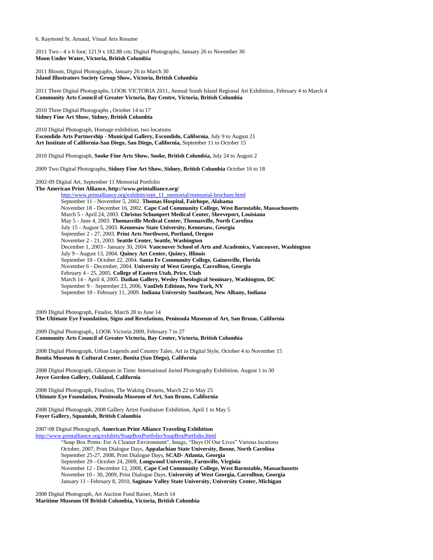2011 Two - 4 x 6 foot; 121.9 x 182.88 cm; Digital Photographs, January 26 to November 30 **Moon Under Water, Victoria, British Columbia**

2011 Bloom, Digital Photographs, January 26 to March 30 **Island Illustrators Society Group Show, Victoria, British Columbia**

2011 Three Digital Photographs, LOOK VICTORIA 2011, Annual South Island Regional Art Exhibition, February 4 to March 4 **Community Arts Council of Greater Victoria, Bay Centre, Victoria, British Columbia**

2010 Three Digital Photographs **,** October 14 to 17 **Sidney Fine Art Show, Sidney, British Columbia**

2010 Digital Photograph, Homage exhibition, two locations **Escondido Arts Partnership - Municipal Gallery, Escondido, California**, July 9 to August 21 **Art Institute of California-San Diego, San Diego, California,** September 11 to October 15

2010 Digital Photograph, **Sooke Fine Arts Show, Sooke, British Columbia,** July 24 to August 2

2009 Two Digital Photographs, **Sidney Fine Art Show, Sidney, British Columbia** October 16 to 18

2002-09 Digital Art, September 11 Memorial Portfolio

**The American Print Alliance, http://www.printalliance.org/** [http://www.printalliance.org/exhibits/sept\\_11\\_memorial/memorial-brochure.html](http://www.printalliance.org/exhibits/sept_11_memorial/memorial-brochure.html) September 11 - November 5, 2002. **Thomas Hospital, Fairhope, Alabama** November 18 - December 16, 2002. **Cape Cod Community College, West Barnstable, Massachusetts** March 5 - April 24, 2003. **Christus Schumpert Medical Center, Shreveport, Louisiana** May 5 - June 4, 2003. **Thomasville Medical Center, Thomasville, North Carolina** July 15 - August 5, 2003. **Kennesaw State University, Kennesaw, Georgia** September 2 - 27, 2003. **Print Arts Northwest, Portland, Oregon** November 2 - 21, 2003. **Seattle Center, Seattle, Washington** December 1, 2003 - January 30, 2004. **Vancouver School of Arts and Academics, Vancouver, Washington** July 9 - August 13, 2004. **Quincy Art Center, Quincy, Illinois** September 10 - October 22, 2004. **Santa Fe Community College, Gainesville, Florida** November 6 - December, 2004. **University of West Georgia, Carrollton, Georgia** February 4 - 25, 2005. **College of Eastern Utah, Price, Utah** March 14 - April 4, 2005. **Dadian Gallery, Wesley Theological Seminary, Washington, DC** September 9 – September 23, 2006, **VanDeb Editions, New York, NY** September 10 - February 11, 2009. **Indiana University Southeast, New Albany, Indiana**

2009 Digital Photograph, Finalist, March 28 to June 14

**The Ultimate Eye Foundation, Signs and Revelations, Peninsula Museum of Art, San Bruno, California**

2009 Digital Photograph,, LOOK Victoria 2009, February 7 to 27 **Community Arts Council of Greater Victoria, Bay Center, Victoria, British Columbia**

2008 Digital Photograph, Urban Legends and Country Tales, Art in Digital Style, October 4 to November 15 **Bonita Museum & Cultural Center, Bonita (San Diego), California**

2008 Digital Photograph, Glimpses in Time: International Juried Photography Exhibition, August 1 to 30 **Joyce Gordon Gallery, Oakland, California**

2008 Digital Photograph, Finalists, The Waking Dreams, March 22 to May 25 **Ultimate Eye Foundation, Peninsula Museum of Art, San Bruno, California**

2008 Digital Photograph, 2008 Gallery Artist Fundraiser Exhibition, April 1 to May 5 **Foyer Gallery, Squamish, British Columbia**

2007-08 Digital Photograph, **American Print Alliance Traveling Exhibition**

<http://www.printalliance.org/exhibits/SoapBoxPortfolio/SoapBoxPortfolio.html> "Soap Box Prints: For A Cleaner Environment", Image, "Days Of Our Lives" Various locations October, 2007, Print Dialogue Days, **Appalachian State University, Boone, North Carolina** September 25-27, 2008, Print Dialogue Days, **SCAD- Atlanta, Georgia** September 29 - October 24, 2008, **Longwood University, Farmville, Virginia** November 12 - December 12, 2008, **Cape Cod Community College, West Barnstable, Massachusetts** November 10 - 30, 2009, Print Dialogue Days, **University of West Georgia, Carrollton, Georgia** January 11 - February 8, 2010, **Saginaw Valley State University, University Center, Michigan**

2008 Digital Photograph, Art Auction Fund Raiser, March 14 **Maritime Museum Of British Columbia, Victoria, British Columbia**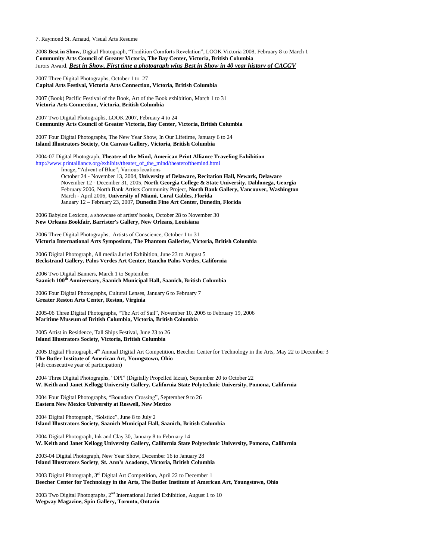2008 **Best in Show,** Digital Photograph, "Tradition Comforts Revelation", LOOK Victoria 2008, February 8 to March 1 **Community Arts Council of Greater Victoria, The Bay Center, Victoria, British Columbia** Jurors Award, *Best in Show, First time a photograph wins Best in Show in 40 year history of CACGV*

2007 Three Digital Photographs, October 1 to 27 **Capital Arts Festival, Victoria Arts Connection, Victoria, British Columbia**

2007 (Book) Pacific Festival of the Book, Art of the Book exhibition, March 1 to 31 **Victoria Arts Connection, Victoria, British Columbia**

2007 Two Digital Photographs, LOOK 2007, February 4 to 24 **Community Arts Council of Greater Victoria, Bay Center, Victoria, British Columbia**

2007 Four Digital Photographs, The New Year Show, In Our Lifetime, January 6 to 24 **Island Illustrators Society, On Canvas Gallery, Victoria, British Columbia**

2004-07 Digital Photograph, **Theatre of the Mind, American Print Alliance Traveling Exhibition** [http://www.printalliance.org/exhibits/theater\\_of\\_the\\_mind/theaterofthemind.html](http://www.printalliance.org/exhibits/theater_of_the_mind/theaterofthemind.html)

Image, "Advent of Blue", Various locations October 24 - November 13, 2004, **University of Delaware, Recitation Hall, Newark, Delaware** November 12 - December 31, 2005, **North Georgia College & State University, Dahlonega, Georgia** February 2006, North Bank Artists Community Project, **North Bank Gallery, Vancouver, Washington** March - April 2006, **University of Miami, Coral Gables, Florida** January 12 – February 23, 2007, **Dunedin Fine Art Center, Dunedin, Florida**

2006 Babylon Lexicon, a showcase of artists' books, October 28 to November 30 **New Orleans Bookfair, Barrister's Gallery, New Orleans, Louisiana**

2006 Three Digital Photographs, Artists of Conscience, October 1 to 31 **Victoria International Arts Symposium, The Phantom Galleries, Victoria, British Columbia**

2006 Digital Photograph, All media Juried Exhibition, June 23 to August 5 **Beckstrand Gallery, Palos Verdes Art Center, Rancho Palos Verdes, California**

2006 Two Digital Banners, March 1 to September **Saanich 100th Anniversary, Saanich Municipal Hall, Saanich, British Columbia**

2006 Four Digital Photographs, Cultural Lenses, January 6 to February 7 **Greater Reston Arts Center, Reston, Virginia**

2005-06 Three Digital Photographs, "The Art of Sail", November 10, 2005 to February 19, 2006 **Maritime Museum of British Columbia, Victoria, British Columbia**

2005 Artist in Residence, Tall Ships Festival, June 23 to 26 **Island Illustrators Society, Victoria, British Columbia**

2005 Digital Photograph, 4<sup>th</sup> Annual Digital Art Competition, Beecher Center for Technology in the Arts, May 22 to December 3 **The Butler Institute of American Art, Youngstown, Ohio** (4th consecutive year of participation)

2004 Three Digital Photographs, "DPI" (Digitally Propelled Ideas), September 20 to October 22 **W. Keith and Janet Kellogg University Gallery, California State Polytechnic University, Pomona, California**

2004 Four Digital Photographs, "Boundary Crossing", September 9 to 26 **Eastern New Mexico University at Roswell, New Mexico**

2004 Digital Photograph, "Solstice", June 8 to July 2 **Island Illustrators Society, Saanich Municipal Hall, Saanich, British Columbia**

2004 Digital Photograph, Ink and Clay 30, January 8 to February 14 **W. Keith and Janet Kellogg University Gallery, California State Polytechnic University, Pomona, California**

2003-04 Digital Photograph, New Year Show, December 16 to January 28 **Island Illustrators Society**, **St. Ann's Academy, Victoria, British Columbia**

2003 Digital Photograph, 3rd Digital Art Competition, April 22 to December 1 **Beecher Center for Technology in the Arts, The Butler Institute of American Art, Youngstown, Ohio**

2003 Two Digital Photographs,  $2<sup>nd</sup>$  International Juried Exhibition, August 1 to 10 **Wegway Magazine, Spin Gallery, Toronto, Ontario**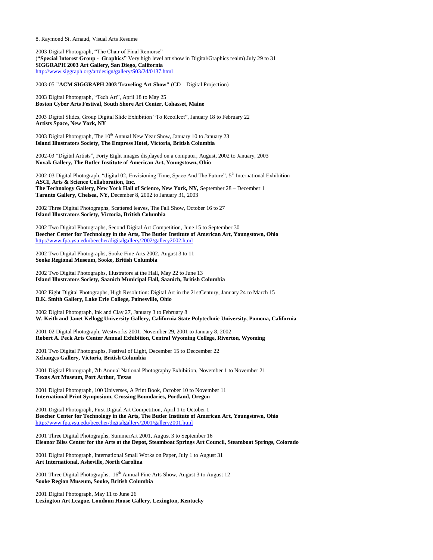2003 Digital Photograph, "The Chair of Final Remorse" (**"Special Interest Group - Graphics"** Very high level art show in Digital/Graphics realm) July 29 to 31 **SIGGRAPH 2003 Art Gallery, San Diego, California** <http://www.siggraph.org/artdesign/gallery/S03/2d/0137.html>

2003-05 **"ACM SIGGRAPH 2003 Traveling Art Show"** (CD – Digital Projection)

2003 Digital Photograph, "Tech Art", April 18 to May 25 **Boston Cyber Arts Festival, South Shore Art Center, Cohasset, Maine**

2003 Digital Slides, Group Digital Slide Exhibition "To Recollect", January 18 to February 22 **Artists Space, New York, NY**

2003 Digital Photograph, The  $10<sup>th</sup>$  Annual New Year Show, January 10 to January 23 **Island Illustrators Society, The Empress Hotel, Victoria, British Columbia**

2002-03 "Digital Artists", Forty Eight images displayed on a computer, August, 2002 to January, 2003 **Novak Gallery, The Butler Institute of American Art, Youngstown, Ohio**

2002-03 Digital Photograph, "digital 02, Envisioning Time, Space And The Future", 5<sup>th</sup> International Exhibition **ASCI, Arts & Science Collaboration, Inc. The Technology Gallery, New York Hall of Science, New York, NY,** September 28 – December 1 **Taranto Gallery, Chelsea, NY,** December 8, 2002 to January 31, 2003

2002 Three Digital Photographs, Scattered leaves, The Fall Show, October 16 to 27 **Island Illustrators Society, Victoria, British Columbia**

2002 Two Digital Photographs, Second Digital Art Competition, June 15 to September 30 **Beecher Center for Technology in the Arts, The Butler Institute of American Art, Youngstown, Ohio** <http://www.fpa.ysu.edu/beecher/digitalgallery/2002/gallery2002.html>

2002 Two Digital Photographs, Sooke Fine Arts 2002, August 3 to 11 **Sooke Regional Museum, Sooke, British Columbia**

2002 Two Digital Photographs, Illustrators at the Hall, May 22 to June 13 **Island Illustrators Society, Saanich Municipal Hall, Saanich, British Columbia**

2002 Eight Digital Photographs, High Resolution: Digital Art in the 21stCentury, January 24 to March 15 **B.K. Smith Gallery, Lake Erie College, Painesville, Ohio**

2002 Digital Photograph, Ink and Clay 27, January 3 to February 8 **W. Keith and Janet Kellogg University Gallery, California State Polytechnic University, Pomona, California**

2001-02 Digital Photograph, Westworks 2001, November 29, 2001 to January 8, 2002 **Robert A. Peck Arts Center Annual Exhibition, Central Wyoming College, Riverton, Wyoming**

2001 Two Digital Photographs, Festival of Light, December 15 to Deccember 22 **Xchanges Gallery, Victoria, British Columbia**

2001 Digital Photograph, 7th Annual National Photography Exhibition, November 1 to November 21 **Texas Art Museum, Port Arthur, Texas**

2001 Digital Photograph, 100 Universes, A Print Book, October 10 to November 11 **International Print Symposium, Crossing Boundaries, Portland, Oregon**

2001 Digital Photograph, First Digital Art Competition, April 1 to October 1 **Beecher Center for Technology in the Arts, The Butler Institute of American Art, Youngstown, Ohio** <http://www.fpa.ysu.edu/beecher/digitalgallery/2001/gallery2001.html>

2001 Three Digital Photographs, SummerArt 2001, August 3 to September 16 **Eleanor Bliss Center for the Arts at the Depot, Steamboat Springs Art Council, Steamboat Springs, Colorado**

2001 Digital Photograph, International Small Works on Paper, July 1 to August 31 **Art International, Asheville, North Carolina**

2001 Three Digital Photographs,  $16<sup>th</sup>$  Annual Fine Arts Show, August 3 to August 12 **Sooke Region Museum, Sooke, British Columbia**

2001 Digital Photograph, May 11 to June 26 **Lexington Art League, Loudoun House Gallery, Lexington, Kentucky**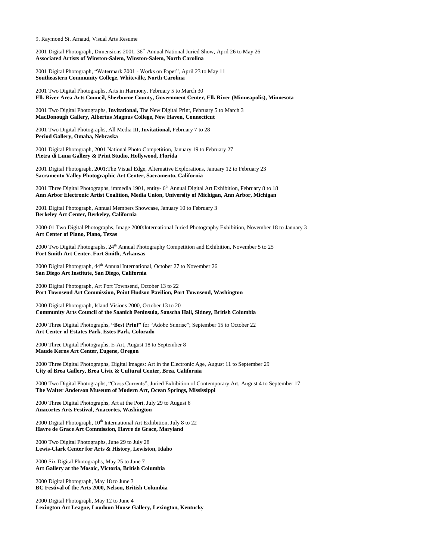2001 Digital Photograph, Dimensions 2001,  $36<sup>th</sup>$  Annual National Juried Show, April 26 to May 26 **Associated Artists of Winston-Salem, Winston-Salem, North Carolina**

2001 Digital Photograph, "Watermark 2001 - Works on Paper", April 23 to May 11 **Southeastern Community College, Whiteville, North Carolina**

2001 Two Digital Photographs, Arts in Harmony, February 5 to March 30 **Elk River Area Arts Council, Sherburne County, Government Center, Elk River (Minneapolis), Minnesota**

2001 Two Digital Photographs, **Invitational,** The New Digital Print, February 5 to March 3 **MacDonough Gallery, Albertus Magnus College, New Haven, Connecticut**

2001 Two Digital Photographs, All Media III, **Invitational,** February 7 to 28 **Period Gallery, Omaha, Nebraska**

2001 Digital Photograph, 2001 National Photo Competition, January 19 to February 27 **Pietra di Luna Gallery & Print Studio, Hollywood, Florida**

2001 Digital Photograph, 2001:The Visual Edge, Alternative Explorations, January 12 to February 23 **Sacramento Valley Photographic Art Center, Sacramento, California**

2001 Three Digital Photographs, immedia 1901, entity- 6<sup>th</sup> Annual Digital Art Exhibition, February 8 to 18 **Ann Arbor Electronic Artist Coalition, Media Union, University of Michigan, Ann Arbor, Michigan**

2001 Digital Photograph, Annual Members Showcase, January 10 to February 3 **Berkeley Art Center, Berkeley, California**

2000-01 Two Digital Photographs, Image 2000:International Juried Photography Exhibition, November 18 to January 3 **Art Center of Plano, Plano, Texas**

2000 Two Digital Photographs,  $24<sup>th</sup>$  Annual Photography Competition and Exhibition, November 5 to 25 **Fort Smith Art Center, Fort Smith, Arkansas**

2000 Digital Photograph, 44<sup>th</sup> Annual International, October 27 to November 26 **San Diego Art Institute, San Diego, California**

2000 Digital Photograph, Art Port Townsend, October 13 to 22 **Port Townsend Art Commission, Point Hudson Pavilion, Port Townsend, Washington**

2000 Digital Photograph, Island Visions 2000, October 13 to 20 **Community Arts Council of the Saanich Peninsula, Sanscha Hall, Sidney, British Columbia**

2000 Three Digital Photographs, **"Best Print"** for "Adobe Sunrise"; September 15 to October 22 **Art Center of Estates Park, Estes Park, Colorado**

2000 Three Digital Photographs, E-Art, August 18 to September 8 **Maude Kerns Art Center, Eugene, Oregon**

2000 Three Digital Photographs, Digital Images: Art in the Electronic Age, August 11 to September 29 **City of Brea Gallery, Brea Civic & Cultural Center, Brea, California**

2000 Two Digital Photographs, "Cross Currents", Juried Exhibition of Contemporary Art, August 4 to September 17 **The Walter Anderson Museum of Modern Art, Ocean Springs, Mississippi**

2000 Three Digital Photographs, Art at the Port, July 29 to August 6 **Anacortes Arts Festival, Anacortes, Washington**

2000 Digital Photograph, 10<sup>th</sup> International Art Exhibition, July 8 to 22 **Havre de Grace Art Commission, Havre de Grace, Maryland**

2000 Two Digital Photographs, June 29 to July 28 **Lewis-Clark Center for Arts & History, Lewiston, Idaho**

2000 Six Digital Photographs, May 25 to June 7 **Art Gallery at the Mosaic, Victoria, British Columbia**

2000 Digital Photograph, May 18 to June 3 **BC Festival of the Arts 2000, Nelson, British Columbia**

2000 Digital Photograph, May 12 to June 4 **Lexington Art League, Loudoun House Gallery, Lexington, Kentucky**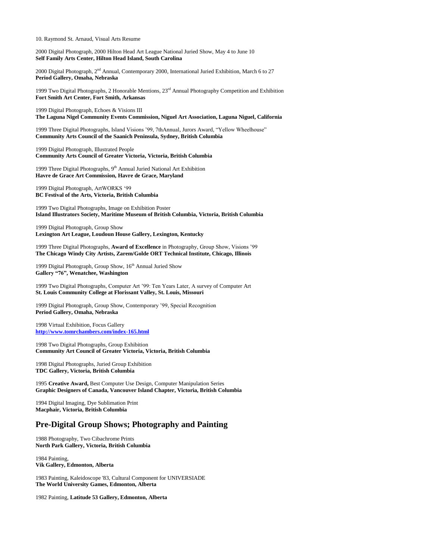2000 Digital Photograph, 2000 Hilton Head Art League National Juried Show, May 4 to June 10 **Self Family Arts Center, Hilton Head Island, South Carolina**

2000 Digital Photograph, 2<sup>nd</sup> Annual, Contemporary 2000, International Juried Exhibition, March 6 to 27 **Period Gallery, Omaha, Nebraska**

1999 Two Digital Photographs, 2 Honorable Mentions,  $23<sup>rd</sup>$  Annual Photography Competition and Exhibition **Fort Smith Art Center, Fort Smith, Arkansas**

1999 Digital Photograph, Echoes & Visions III **The Laguna Nigel Community Events Commission, Niguel Art Association, Laguna Niguel, California**

1999 Three Digital Photographs, Island Visions '99, 7thAnnual, Jurors Award, "Yellow Wheelhouse" **Community Arts Council of the Saanich Peninsula, Sydney, British Columbia**

1999 Digital Photograph, Illustrated People **Community Arts Council of Greater Victoria, Victoria, British Columbia**

1999 Three Digital Photographs, 9<sup>th</sup> Annual Juried National Art Exhibition **Havre de Grace Art Commission, Havre de Grace, Maryland**

1999 Digital Photograph, ArtWORKS '99 **BC Festival of the Arts, Victoria, British Columbia**

1999 Two Digital Photographs, Image on Exhibition Poster **Island Illustrators Society, Maritime Museum of British Columbia, Victoria, British Columbia**

1999 Digital Photograph, Group Show **Lexington Art League, Loudoun House Gallery, Lexington, Kentucky**

1999 Three Digital Photographs, **Award of Excellence** in Photography, Group Show, Visions '99 **The Chicago Windy City Artists, Zarem/Golde ORT Technical Institute, Chicago, Illinois**

1999 Digital Photograph, Group Show, 16<sup>th</sup> Annual Juried Show **Gallery "76", Wenatchee, Washington**

1999 Two Digital Photographs, Computer Art '99: Ten Years Later, A survey of Computer Art **St. Louis Community College at Florissant Valley, St. Louis, Missouri**

1999 Digital Photograph, Group Show, Contemporary '99, Special Recognition **Period Gallery, Omaha, Nebraska**

1998 Virtual Exhibition, Focus Gallery **<http://www.tomrchambers.com/index-165.html>**

1998 Two Digital Photographs, Group Exhibition **Community Art Council of Greater Victoria, Victoria, British Columbia**

1998 Digital Photographs, Juried Group Exhibition **TDC Gallery, Victoria, British Columbia**

1995 **Creative Award,** Best Computer Use Design, Computer Manipulation Series **Graphic Designers of Canada, Vancouver Island Chapter, Victoria, British Columbia**

1994 Digital Imaging, Dye Sublimation Print **Macphair, Victoria, British Columbia**

## **Pre-Digital Group Shows; Photography and Painting**

1988 Photography, Two Cibachrome Prints **North Park Gallery, Victoria, British Columbia**

1984 Painting, **Vik Gallery, Edmonton, Alberta**

1983 Painting, Kaleidoscope '83, Cultural Component for UNIVERSIADE **The World University Games, Edmonton, Alberta**

1982 Painting, **Latitude 53 Gallery, Edmonton, Alberta**